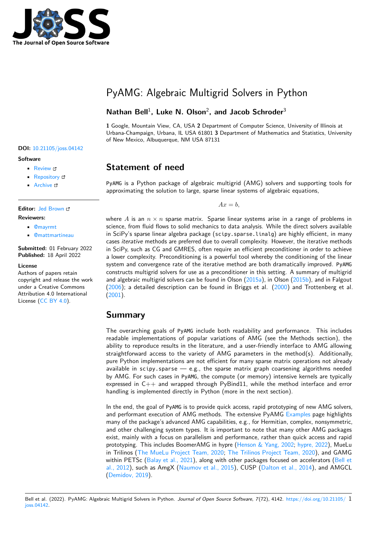

# PyAMG: Algebraic Multigrid Solvers in Python

### Nathan Bell<sup>1</sup>, Luke N. Olson<sup>2</sup>, and Jacob Schroder<sup>3</sup>

**1** Google, Mountain View, CA, USA **2** Department of Computer Science, University of Illinois at Urbana-Champaign, Urbana, IL USA 61801 **3** Department of Mathematics and Statistics, University of New Mexico, Albuquerque, NM USA 87131

#### **DOI:** [10.21105/joss.04142](https://doi.org/10.21105/joss.04142)

#### **Software**

- [Review](https://github.com/openjournals/joss-reviews/issues/4142) C
- [Repository](https://github.com/pyamg/pyamg/) C
- [Archive](https://doi.org/10.5281/zenodo.6463617) c

## **Editor:** [Jed Brown](https://jedbrown.org)

- **Reviewers:**
	- [@mayrmt](https://github.com/mayrmt)
	- [@mattmartineau](https://github.com/mattmartineau)

**Submitted:** 01 February 2022 **Published:** 18 April 2022

#### **License**

Authors of papers retain copyright and release the work under a Creative Commons Attribution 4.0 International License [\(CC BY 4.0\)](https://creativecommons.org/licenses/by/4.0/).

## **Statement of need**

PyAMG is a Python package of algebraic multigrid (AMG) solvers and supporting tools for approximating the solution to large, sparse linear systems of algebraic equations,

 $Ax = b$ ,

where A is an  $n \times n$  sparse matrix. Sparse linear systems arise in a range of problems in science, from fluid flows to solid mechanics to data analysis. While the direct solvers available in SciPy's sparse linear algebra package (scipy.sparse.linalg) are highly efficient, in many cases iterative methods are preferred due to overall complexity. However, the iterative methods in SciPy, such as CG and GMRES, often require an efficient preconditioner in order to achieve a lower complexity. Preconditioning is a powerful tool whereby the conditioning of the linear system and convergence rate of the iterative method are both dramatically improved. PyAMG constructs multigrid solvers for use as a preconditioner in this setting. A summary of multigrid and algebraic multigrid solvers can be found in Olson [\(2015a\)](#page-3-0), in Olson [\(2015b\)](#page-3-1), and in Falgout [\(2006\)](#page-3-2); a detailed description can be found in Briggs et al. [\(2000\)](#page-3-3) and Trottenberg et al. [\(2001\)](#page-3-4).

#### **Summary**

The overarching goals of PyAMG include both readability and performance. This includes readable implementations of popular variations of AMG (see the Methods section), the ability to reproduce results in the literature, and a user-friendly interface to AMG allowing straightforward access to the variety of AMG parameters in the method(s). Additionally, pure Python implementations are not efficient for many sparse matrix operations not already available in  $scipy$ . sparse  $-$  e.g., the sparse matrix graph coarsening algorithms needed by AMG. For such cases in PyAMG, the compute (or memory) intensive kernels are typically expressed in  $C++$  and wrapped through PyBind11, while the method interface and error handling is implemented directly in Python (more in the next section).

In the end, the goal of PyAMG is to provide quick access, rapid prototyping of new AMG solvers, and performant execution of AMG methods. The extensive PyAMG [Examples](https://github.com/pyamg/pyamg-examples) page highlights many of the package's advanced AMG capabilities, e.g., for Hermitian, complex, nonsymmetric, and other challenging system types. It is important to note that many other AMG packages exist, mainly with a focus on parallelism and performance, rather than quick access and rapid prototyping. This includes BoomerAMG in hypre [\(Henson & Yang, 2002;](#page-3-5) [hypre, 2022\)](#page-3-6), MueLu in Trilinos [\(The MueLu Project Team, 2020;](#page-3-7) [The Trilinos Project Team, 2020\)](#page-3-8), and GAMG within PETSc [\(Balay et al., 2021\)](#page-2-0), along with other packages focused on accelerators [\(Bell et](#page-3-9) [al., 2012\)](#page-3-9), such as AmgX [\(Naumov et al., 2015\)](#page-3-10), CUSP [\(Dalton et al., 2014\)](#page-3-11), and AMGCL [\(Demidov, 2019\)](#page-3-12).

Bell et al. (2022). PyAMG: Algebraic Multigrid Solvers in Python. Journal of Open Source Software, 7(72), 4142. [https://doi.org/10.21105/](https://doi.org/10.21105/joss.04142) 1 [joss.04142.](https://doi.org/10.21105/joss.04142)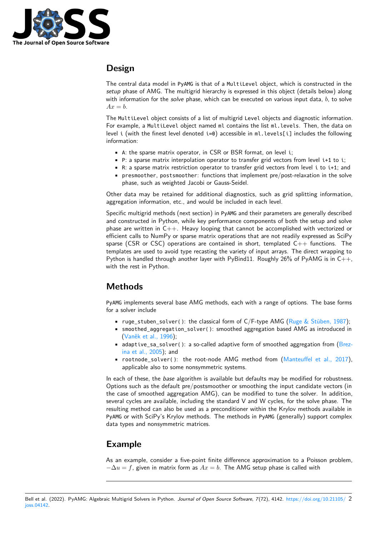

## **Design**

The central data model in PyAMG is that of a MultiLevel object, which is constructed in the setup phase of AMG. The multigrid hierarchy is expressed in this object (details below) along with information for the solve phase, which can be executed on various input data,  $b$ , to solve  $Ax = b$ .

The MultiLevel object consists of a list of multigrid Level objects and diagnostic information. For example, a MultiLevel object named ml contains the list ml. levels. Then, the data on level i (with the finest level denoted  $i=0$ ) accessible in ml. levels[i] includes the following information:

- A: the sparse matrix operator, in CSR or BSR format, on level i;
- P: a sparse matrix interpolation operator to transfer grid vectors from level i+1 to i;
- R: a sparse matrix restriction operator to transfer grid vectors from level i to i+1; and
- presmoother, postsmoother: functions that implement pre/post-relaxation in the solve phase, such as weighted Jacobi or Gauss-Seidel.

Other data may be retained for additional diagnostics, such as grid splitting information, aggregation information, etc., and would be included in each level.

Specific multigrid methods (next section) in PyAMG and their parameters are generally described and constructed in Python, while key performance components of both the setup and solve phase are written in  $C_{++}$ . Heavy looping that cannot be accomplished with vectorized or efficient calls to NumPy or sparse matrix operations that are not readily expressed as SciPy sparse (CSR or CSC) operations are contained in short, templated  $C++$  functions. The templates are used to avoid type recasting the variety of input arrays. The direct wrapping to Python is handled through another layer with PyBind11. Roughly 26% of PyAMG is in  $C++$ , with the rest in Python.

### **Methods**

PyAMG implements several base AMG methods, each with a range of options. The base forms for a solver include

- ruge stuben solver(): the classical form of  $C/F$ -type AMG [\(Ruge & Stüben, 1987\)](#page-3-13);
- smoothed\_aggregation\_solver(): smoothed aggregation based AMG as introduced in [\(Vaněk et al., 1996\)](#page-3-14);
- adaptive\_sa\_solver(): a so-called adaptive form of smoothed aggregation from [\(Brez](#page-3-15)[ina et al., 2005\)](#page-3-15); and
- rootnode solver(): the root-node AMG method from  $(Manteuffel et al., 2017)$ . applicable also to some nonsymmetric systems.

In each of these, the base algorithm is available but defaults may be modified for robustness. Options such as the default pre/postsmoother or smoothing the input candidate vectors (in the case of smoothed aggregation AMG), can be modified to tune the solver. In addition, several cycles are available, including the standard V and W cycles, for the solve phase. The resulting method can also be used as a preconditioner within the Krylov methods available in PyAMG or with SciPy's Krylov methods. The methods in PyAMG (generally) support complex data types and nonsymmetric matrices.

### **Example**

As an example, consider a five-point finite difference approximation to a Poisson problem,  $-\Delta u = f$ , given in matrix form as  $Ax = b$ . The AMG setup phase is called with

Bell et al. (2022). PyAMG: Algebraic Multigrid Solvers in Python. Journal of Open Source Software, 7(72), 4142. [https://doi.org/10.21105/](https://doi.org/10.21105/joss.04142) 2 [joss.04142.](https://doi.org/10.21105/joss.04142)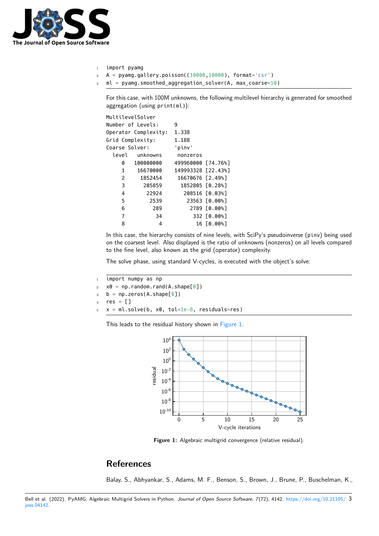

- <sup>1</sup> import pyamg
- <sup>2</sup> A = pyamg.gallery.poisson((10000,10000), format='csr')
- <sup>3</sup> ml = pyamg.smoothed\_aggregation\_solver(A, max\_coarse=10)

For this case, with 100M unknowns, the following multilevel hierarchy is generated for smoothed aggregation (using print(ml)):

| MultilevelSolver |                      |                    |                |
|------------------|----------------------|--------------------|----------------|
|                  | Number of Levels:    | 9                  |                |
|                  | Operator Complexity: | 1.338              |                |
| Grid Complexity: |                      | 1.188              |                |
| Coarse Solver:   |                      | 'pinv'             |                |
| level            | unknowns             | nonzeros           |                |
| 0                | 100000000            | 499960000 [74.76%] |                |
| $\mathbf{1}$     | 16670000             | 149993328 [22.43%] |                |
| 2                | 1852454              | 16670676 [2.49%]   |                |
| 3                | 205859               | 1852805 [0.28%]    |                |
| 4                | 22924                |                    | 208516 [0.03%] |
| 5                | 2539                 |                    | 23563 [0.00%]  |
| 6                | 289                  |                    | 2789 [0.00%]   |
| 7                | 34                   |                    | 332 [0.00%]    |
| 8                | 4                    |                    | 16 [0.00%]     |
|                  |                      |                    |                |

In this case, the hierarchy consists of nine levels, with SciPy's pseudoinverse (pinv) being used on the coarsest level. Also displayed is the ratio of unknowns (nonzeros) on all levels compared to the fine level, also known as the grid (operator) complexity.

The solve phase, using standard V-cycles, is executed with the object's solve:

```
1 import numpy as np
2 \times 0 = np.random.randn(A.shape[0])3 b = np.zeros(A.shape[0])
   res = []x = m1.solve(b, x0, tol=1e-8, residuals=res)
```
<span id="page-2-1"></span>This leads to the residual history shown in [Figure 1.](#page-2-1)



**Figure 1:** Algebraic multigrid convergence (relative residual).

### **References**

<span id="page-2-0"></span>Balay, S., Abhyankar, S., Adams, M. F., Benson, S., Brown, J., Brune, P., Buschelman, K.,